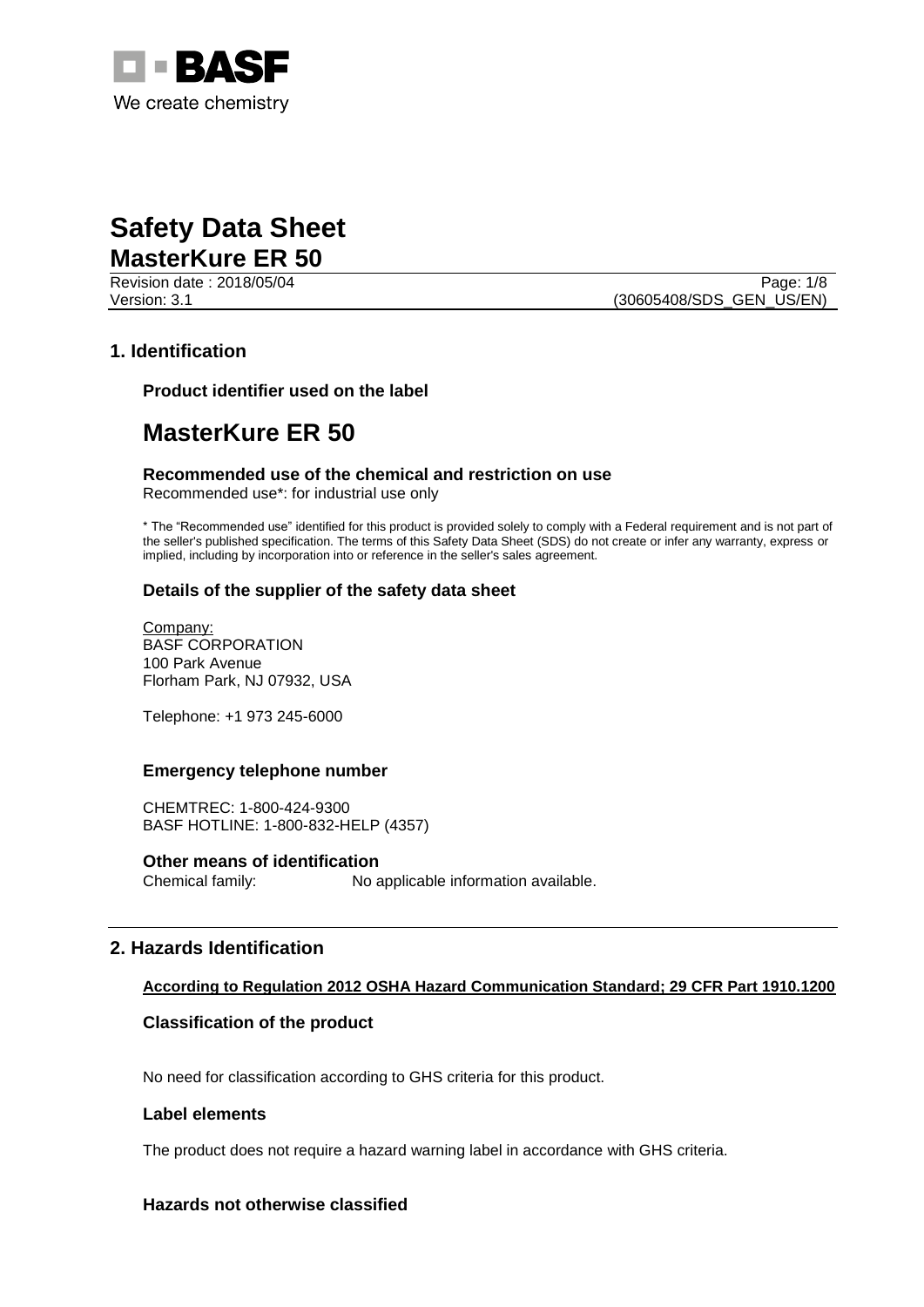

Revision date : 2018/05/04 Page: 1/8 Version: 3.1 (30605408/SDS\_GEN\_US/EN)

### **1. Identification**

**Product identifier used on the label**

# **MasterKure ER 50**

**Recommended use of the chemical and restriction on use** Recommended use\*: for industrial use only

\* The "Recommended use" identified for this product is provided solely to comply with a Federal requirement and is not part of the seller's published specification. The terms of this Safety Data Sheet (SDS) do not create or infer any warranty, express or implied, including by incorporation into or reference in the seller's sales agreement.

### **Details of the supplier of the safety data sheet**

Company: BASF CORPORATION 100 Park Avenue Florham Park, NJ 07932, USA

Telephone: +1 973 245-6000

### **Emergency telephone number**

CHEMTREC: 1-800-424-9300 BASF HOTLINE: 1-800-832-HELP (4357)

### **Other means of identification**

Chemical family: No applicable information available.

### **2. Hazards Identification**

### **According to Regulation 2012 OSHA Hazard Communication Standard; 29 CFR Part 1910.1200**

### **Classification of the product**

No need for classification according to GHS criteria for this product.

### **Label elements**

The product does not require a hazard warning label in accordance with GHS criteria.

### **Hazards not otherwise classified**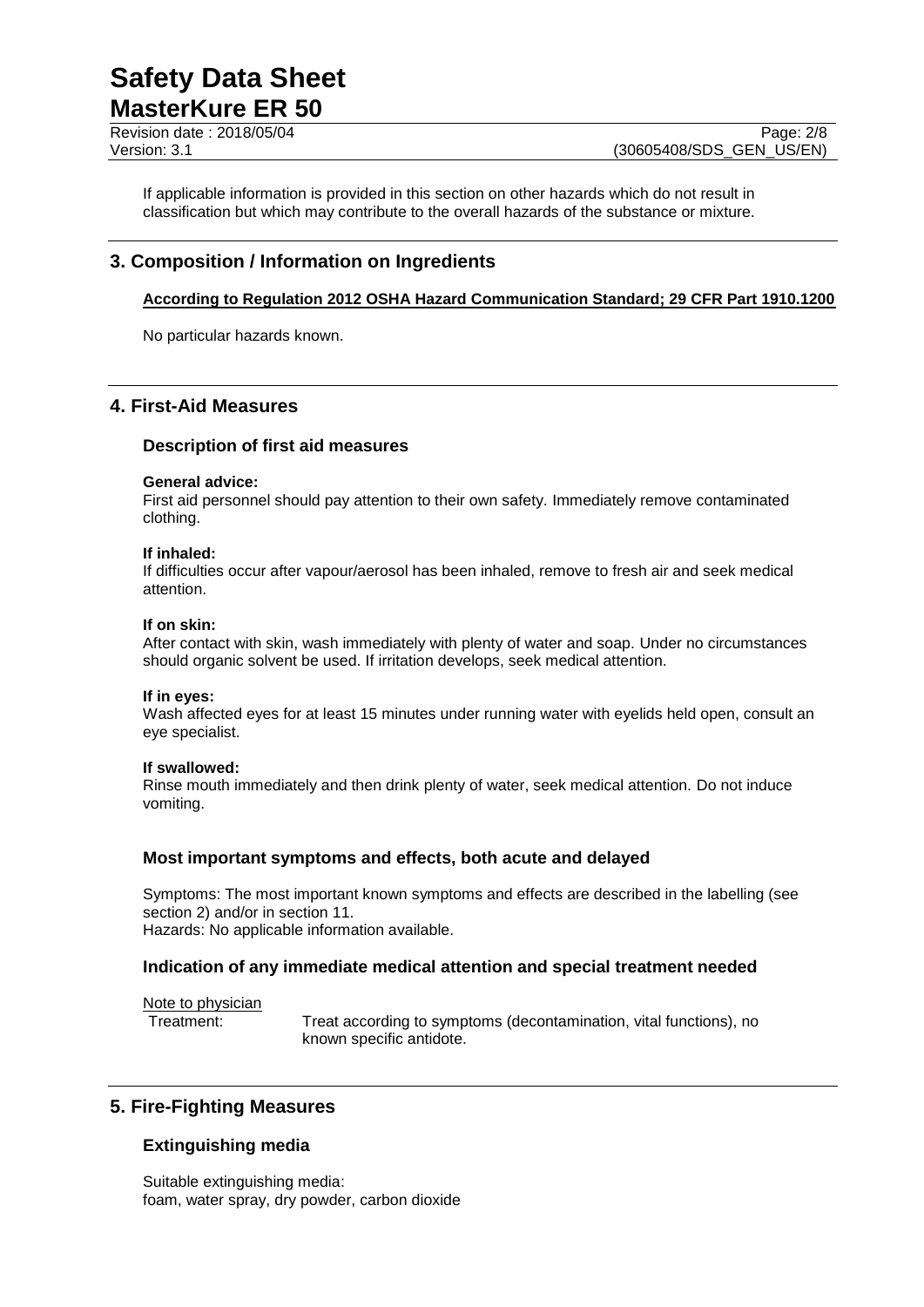Revision date : 2018/05/04 Page: 2/8

If applicable information is provided in this section on other hazards which do not result in classification but which may contribute to the overall hazards of the substance or mixture.

# **3. Composition / Information on Ingredients**

### **According to Regulation 2012 OSHA Hazard Communication Standard; 29 CFR Part 1910.1200**

No particular hazards known.

# **4. First-Aid Measures**

### **Description of first aid measures**

### **General advice:**

First aid personnel should pay attention to their own safety. Immediately remove contaminated clothing.

### **If inhaled:**

If difficulties occur after vapour/aerosol has been inhaled, remove to fresh air and seek medical attention.

### **If on skin:**

After contact with skin, wash immediately with plenty of water and soap. Under no circumstances should organic solvent be used. If irritation develops, seek medical attention.

### **If in eyes:**

Wash affected eyes for at least 15 minutes under running water with eyelids held open, consult an eye specialist.

### **If swallowed:**

Rinse mouth immediately and then drink plenty of water, seek medical attention. Do not induce vomiting.

### **Most important symptoms and effects, both acute and delayed**

Symptoms: The most important known symptoms and effects are described in the labelling (see section 2) and/or in section 11. Hazards: No applicable information available.

### **Indication of any immediate medical attention and special treatment needed**

Note to physician

Treatment: Treat according to symptoms (decontamination, vital functions), no known specific antidote.

# **5. Fire-Fighting Measures**

# **Extinguishing media**

Suitable extinguishing media: foam, water spray, dry powder, carbon dioxide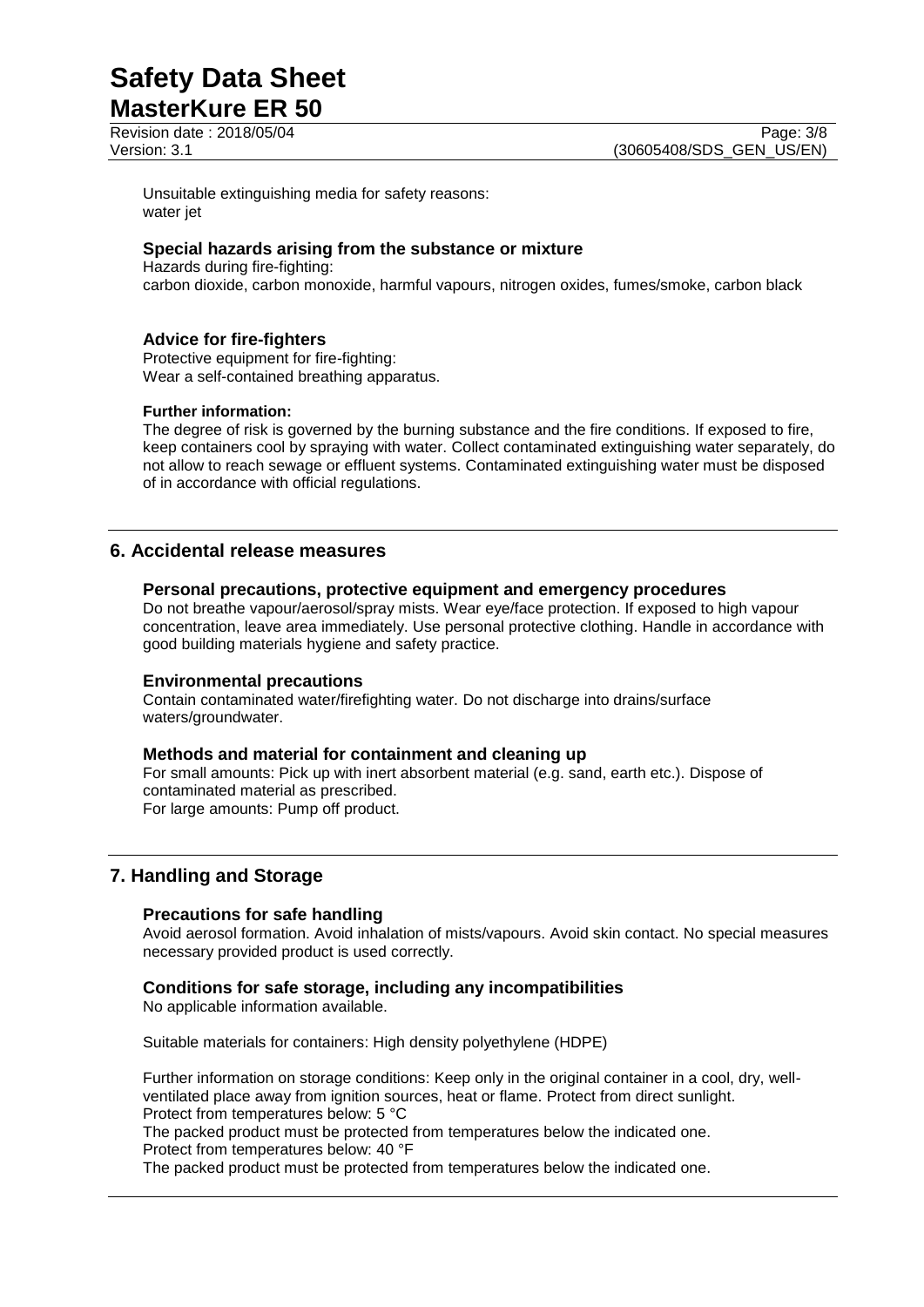Revision date : 2018/05/04 Page: 3/8

Unsuitable extinguishing media for safety reasons: water jet

### **Special hazards arising from the substance or mixture**

Hazards during fire-fighting: carbon dioxide, carbon monoxide, harmful vapours, nitrogen oxides, fumes/smoke, carbon black

### **Advice for fire-fighters**

Protective equipment for fire-fighting: Wear a self-contained breathing apparatus.

### **Further information:**

The degree of risk is governed by the burning substance and the fire conditions. If exposed to fire, keep containers cool by spraying with water. Collect contaminated extinguishing water separately, do not allow to reach sewage or effluent systems. Contaminated extinguishing water must be disposed of in accordance with official regulations.

# **6. Accidental release measures**

### **Personal precautions, protective equipment and emergency procedures**

Do not breathe vapour/aerosol/spray mists. Wear eye/face protection. If exposed to high vapour concentration, leave area immediately. Use personal protective clothing. Handle in accordance with good building materials hygiene and safety practice.

### **Environmental precautions**

Contain contaminated water/firefighting water. Do not discharge into drains/surface waters/groundwater.

### **Methods and material for containment and cleaning up**

For small amounts: Pick up with inert absorbent material (e.g. sand, earth etc.). Dispose of contaminated material as prescribed. For large amounts: Pump off product.

# **7. Handling and Storage**

### **Precautions for safe handling**

Avoid aerosol formation. Avoid inhalation of mists/vapours. Avoid skin contact. No special measures necessary provided product is used correctly.

### **Conditions for safe storage, including any incompatibilities**

No applicable information available.

Suitable materials for containers: High density polyethylene (HDPE)

Further information on storage conditions: Keep only in the original container in a cool, dry, wellventilated place away from ignition sources, heat or flame. Protect from direct sunlight. Protect from temperatures below: 5 °C

The packed product must be protected from temperatures below the indicated one. Protect from temperatures below: 40 °F

The packed product must be protected from temperatures below the indicated one.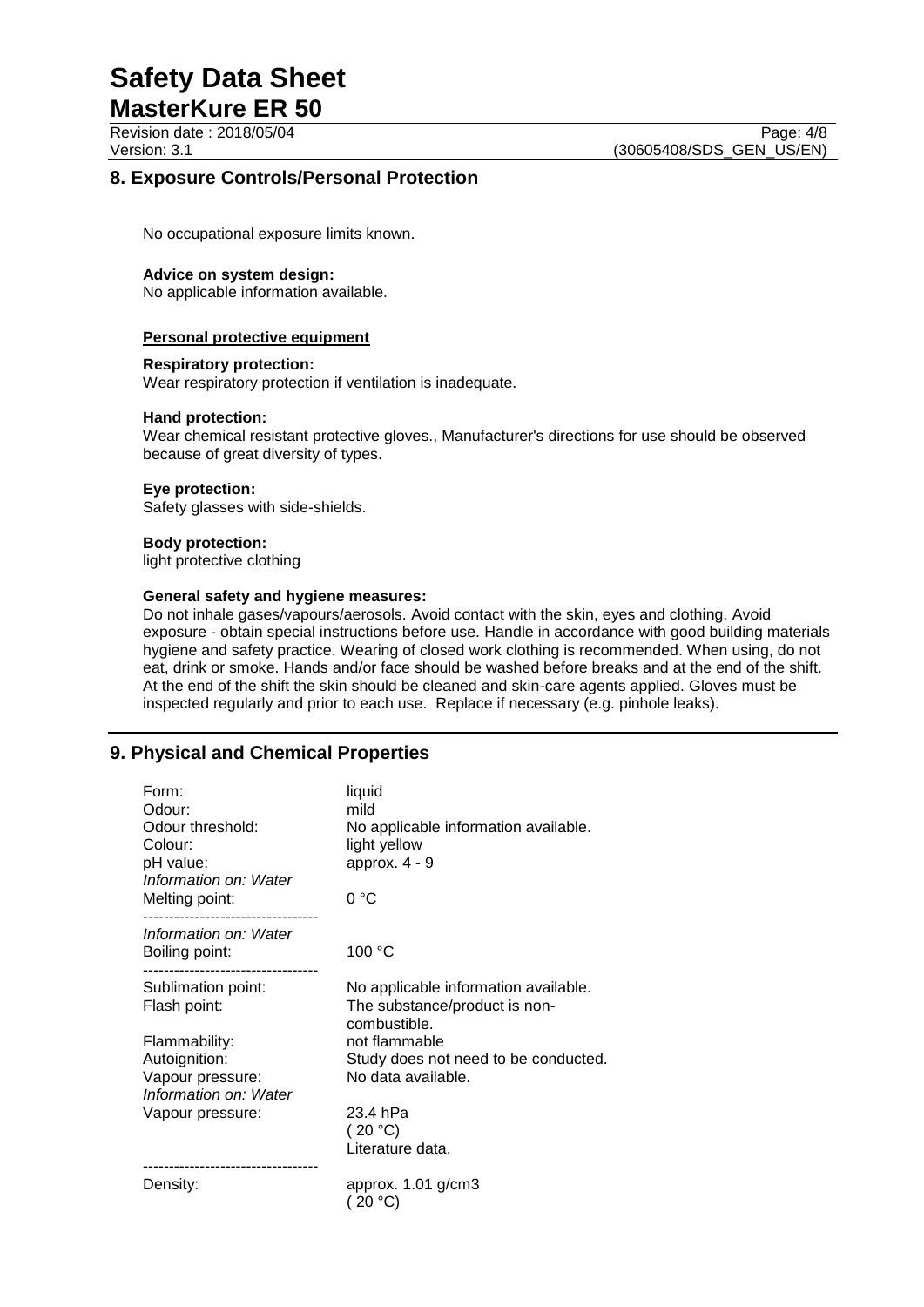# **Safety Data Sheet**

**MasterKure ER 50** Revision date : 2018/05/04 Page: 4/8

Version: 3.1 (30605408/SDS\_GEN\_US/EN)

# **8. Exposure Controls/Personal Protection**

No occupational exposure limits known.

### **Advice on system design:**

No applicable information available.

### **Personal protective equipment**

### **Respiratory protection:**

Wear respiratory protection if ventilation is inadequate.

### **Hand protection:**

Wear chemical resistant protective gloves., Manufacturer's directions for use should be observed because of great diversity of types.

### **Eye protection:**

Safety glasses with side-shields.

### **Body protection:**

light protective clothing

### **General safety and hygiene measures:**

Do not inhale gases/vapours/aerosols. Avoid contact with the skin, eyes and clothing. Avoid exposure - obtain special instructions before use. Handle in accordance with good building materials hygiene and safety practice. Wearing of closed work clothing is recommended. When using, do not eat, drink or smoke. Hands and/or face should be washed before breaks and at the end of the shift. At the end of the shift the skin should be cleaned and skin-care agents applied. Gloves must be inspected regularly and prior to each use. Replace if necessary (e.g. pinhole leaks).

# **9. Physical and Chemical Properties**

| Form:<br>Odour:<br>Odour threshold:<br>Colour:<br>pH value:<br>Information on: Water<br>Melting point: | liquid<br>mild<br>No applicable information available.<br>light yellow<br>approx. $4 - 9$<br>0°C |
|--------------------------------------------------------------------------------------------------------|--------------------------------------------------------------------------------------------------|
| Information on: Water<br>Boiling point:                                                                | 100 °C                                                                                           |
| Sublimation point:<br>Flash point:                                                                     | No applicable information available.<br>The substance/product is non-<br>combustible.            |
| Flammability:<br>Autoignition:<br>Vapour pressure:<br>Information on: Water                            | not flammable<br>Study does not need to be conducted.<br>No data available.                      |
| Vapour pressure:                                                                                       | 23.4 hPa<br>(20 °C)<br>Literature data.                                                          |
| Density:                                                                                               | approx. $1.01$ g/cm $3$<br>(20 °C)                                                               |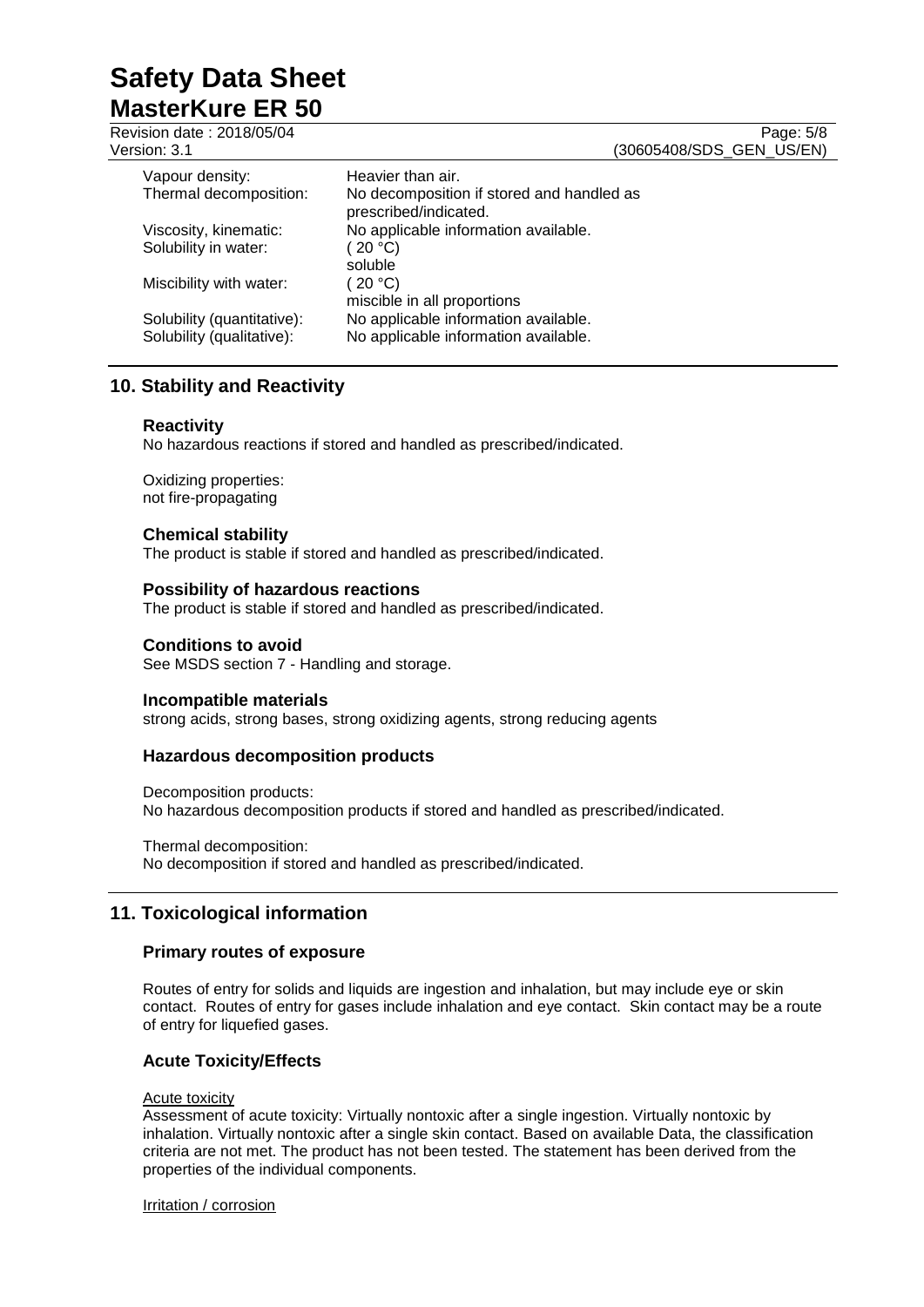Revision date : 2018/05/04 Page: 5/8 Version: 3.1 (30605408/SDS\_GEN\_US/EN) Vapour density: Heavier than air.<br>Thermal decomposition: No decomposition No decomposition if stored and handled as prescribed/indicated. Viscosity, kinematic: No applicable information available. Solubility in water: (20 °C) soluble<br>(20 °C) Miscibility with water: miscible in all proportions Solubility (quantitative): No applicable information available.<br>Solubility (qualitative): No applicable information available. No applicable information available.

# **10. Stability and Reactivity**

### **Reactivity**

No hazardous reactions if stored and handled as prescribed/indicated.

Oxidizing properties: not fire-propagating

### **Chemical stability**

The product is stable if stored and handled as prescribed/indicated.

### **Possibility of hazardous reactions**

The product is stable if stored and handled as prescribed/indicated.

### **Conditions to avoid**

See MSDS section 7 - Handling and storage.

### **Incompatible materials**

strong acids, strong bases, strong oxidizing agents, strong reducing agents

### **Hazardous decomposition products**

Decomposition products: No hazardous decomposition products if stored and handled as prescribed/indicated.

Thermal decomposition: No decomposition if stored and handled as prescribed/indicated.

# **11. Toxicological information**

### **Primary routes of exposure**

Routes of entry for solids and liquids are ingestion and inhalation, but may include eye or skin contact. Routes of entry for gases include inhalation and eye contact. Skin contact may be a route of entry for liquefied gases.

### **Acute Toxicity/Effects**

### Acute toxicity

Assessment of acute toxicity: Virtually nontoxic after a single ingestion. Virtually nontoxic by inhalation. Virtually nontoxic after a single skin contact. Based on available Data, the classification criteria are not met. The product has not been tested. The statement has been derived from the properties of the individual components.

Irritation / corrosion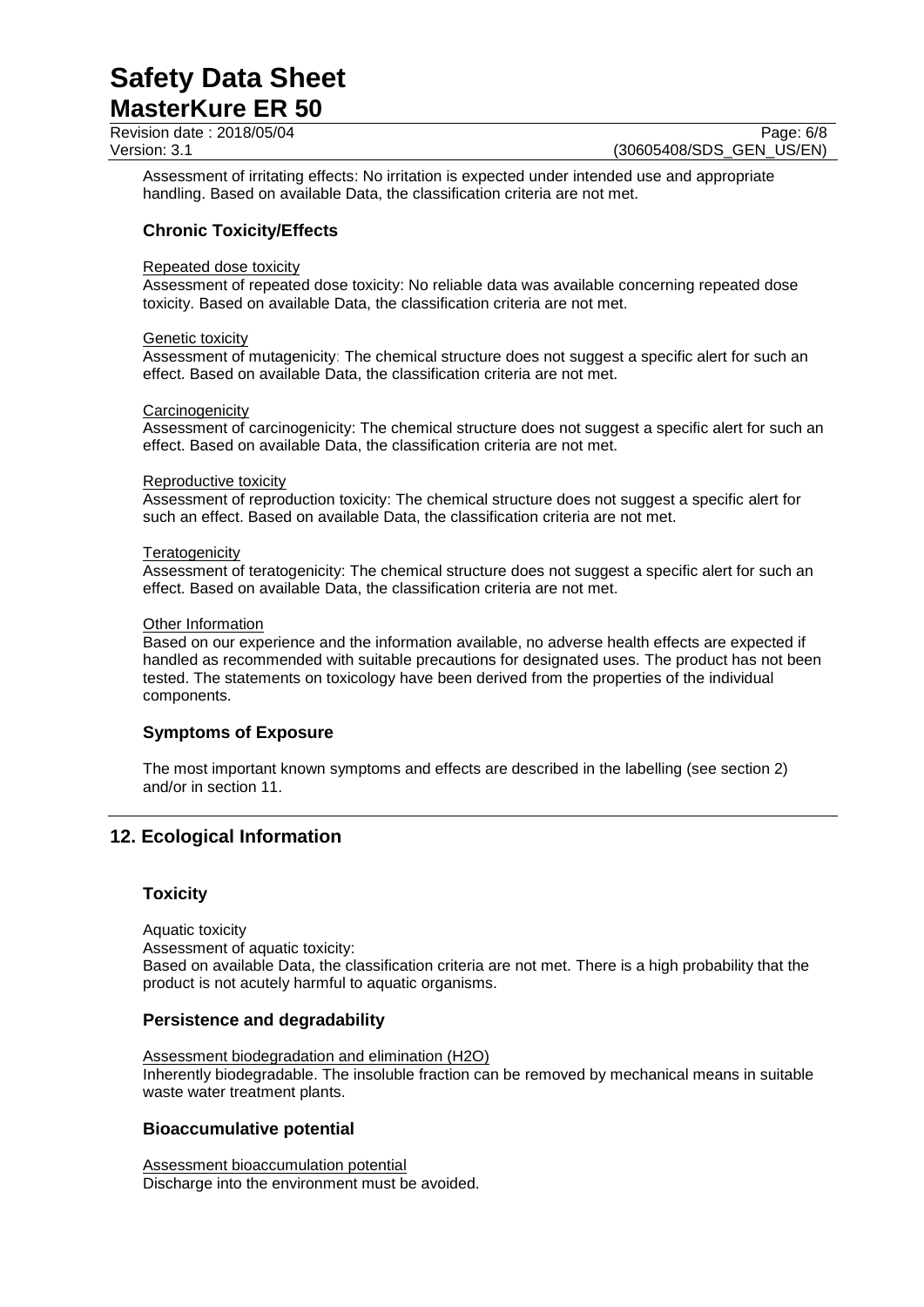Revision date : 2018/05/04 Page: 6/8<br>Version: 3.1 (30605408/SDS\_GEN\_US/EN)

(30605408/SDS\_GEN\_US/EN)

Assessment of irritating effects: No irritation is expected under intended use and appropriate handling. Based on available Data, the classification criteria are not met.

### **Chronic Toxicity/Effects**

### Repeated dose toxicity

Assessment of repeated dose toxicity: No reliable data was available concerning repeated dose toxicity. Based on available Data, the classification criteria are not met.

### Genetic toxicity

Assessment of mutagenicity: The chemical structure does not suggest a specific alert for such an effect. Based on available Data, the classification criteria are not met.

#### **Carcinogenicity**

Assessment of carcinogenicity: The chemical structure does not suggest a specific alert for such an effect. Based on available Data, the classification criteria are not met.

#### Reproductive toxicity

Assessment of reproduction toxicity: The chemical structure does not suggest a specific alert for such an effect. Based on available Data, the classification criteria are not met.

#### **Teratogenicity**

Assessment of teratogenicity: The chemical structure does not suggest a specific alert for such an effect. Based on available Data, the classification criteria are not met.

#### Other Information

Based on our experience and the information available, no adverse health effects are expected if handled as recommended with suitable precautions for designated uses. The product has not been tested. The statements on toxicology have been derived from the properties of the individual components.

### **Symptoms of Exposure**

The most important known symptoms and effects are described in the labelling (see section 2) and/or in section 11.

# **12. Ecological Information**

### **Toxicity**

Aquatic toxicity Assessment of aquatic toxicity: Based on available Data, the classification criteria are not met. There is a high probability that the product is not acutely harmful to aquatic organisms.

### **Persistence and degradability**

Assessment biodegradation and elimination (H2O) Inherently biodegradable. The insoluble fraction can be removed by mechanical means in suitable waste water treatment plants.

### **Bioaccumulative potential**

Assessment bioaccumulation potential Discharge into the environment must be avoided.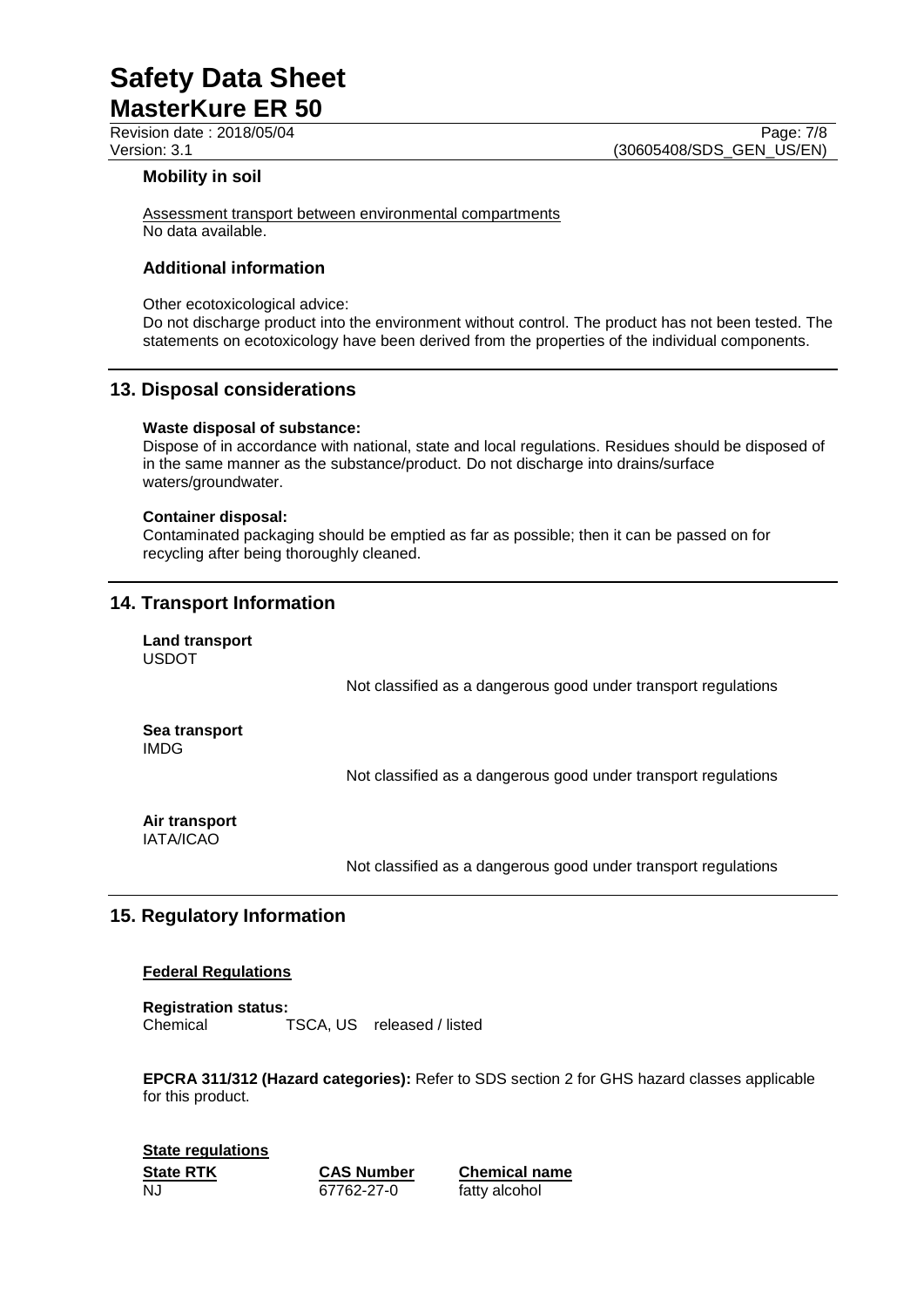Revision date : 2018/05/04 Page: 7/8

Version: 3.1 (30605408/SDS\_GEN\_US/EN)

### **Mobility in soil**

Assessment transport between environmental compartments No data available.

# **Additional information**

Other ecotoxicological advice:

Do not discharge product into the environment without control. The product has not been tested. The statements on ecotoxicology have been derived from the properties of the individual components.

### **13. Disposal considerations**

#### **Waste disposal of substance:**

Dispose of in accordance with national, state and local regulations. Residues should be disposed of in the same manner as the substance/product. Do not discharge into drains/surface waters/groundwater.

#### **Container disposal:**

Contaminated packaging should be emptied as far as possible; then it can be passed on for recycling after being thoroughly cleaned.

# **14. Transport Information**

**Land transport** USDOT

Not classified as a dangerous good under transport regulations

**Sea transport** IMDG

Not classified as a dangerous good under transport regulations

**Air transport** IATA/ICAO

Not classified as a dangerous good under transport regulations

# **15. Regulatory Information**

### **Federal Regulations**

**Registration status:** Chemical TSCA, US released / listed

**EPCRA 311/312 (Hazard categories):** Refer to SDS section 2 for GHS hazard classes applicable for this product.

**State regulations State RTK CAS Number Chemical name** NJ 67762-27-0 fatty alcohol